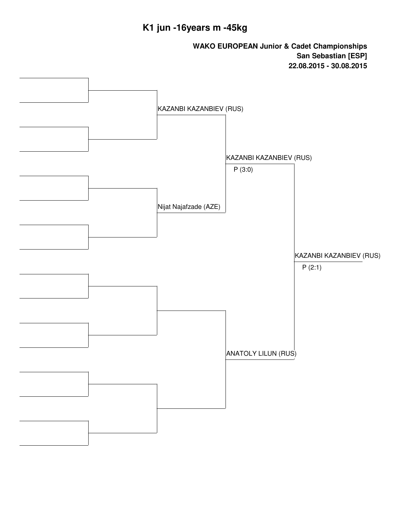## **K1 jun -16years m -45kg**

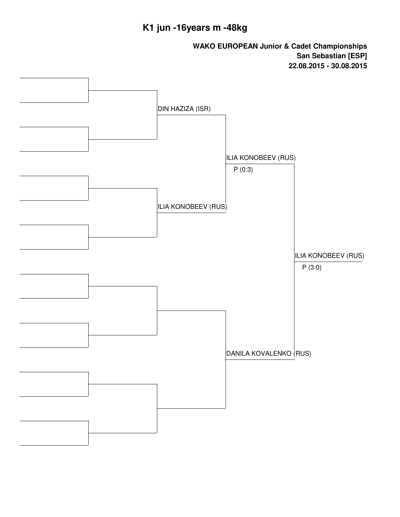## **K1 jun -16years m -48kg**

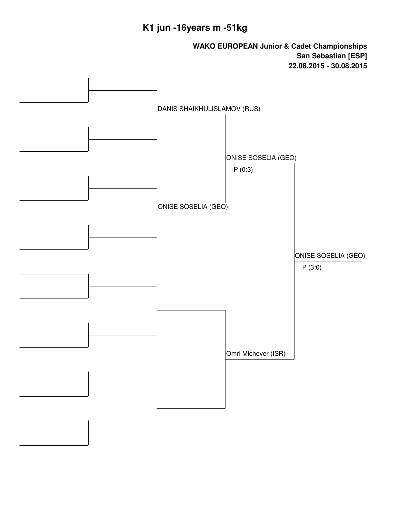## **K1 jun -16years m -51kg**

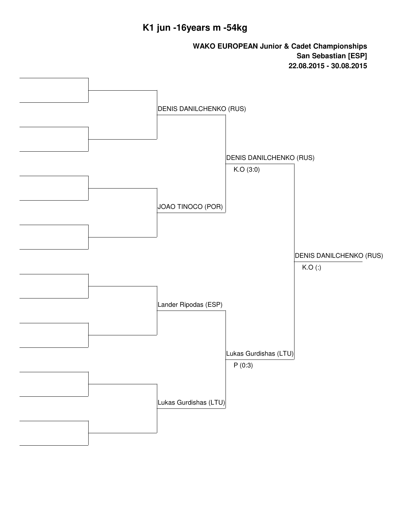### **K1 jun -16years m -54kg**

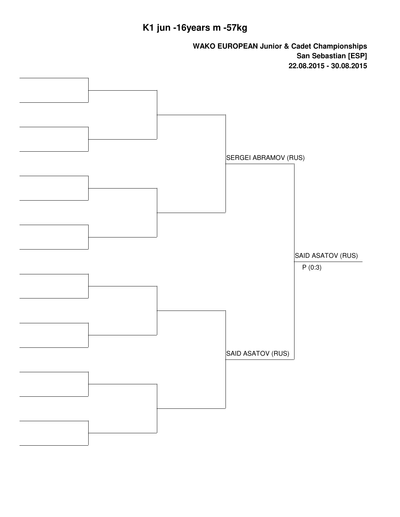# **K1 jun -16years m -57kg**

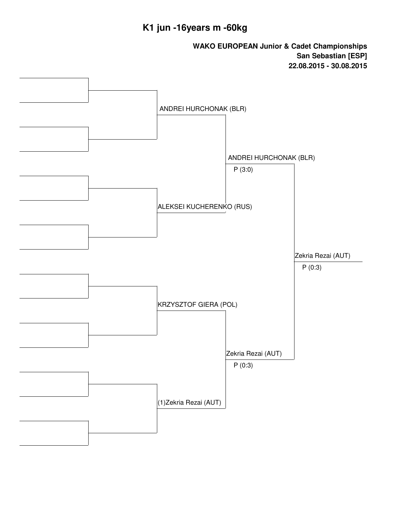## **K1 jun -16years m -60kg**

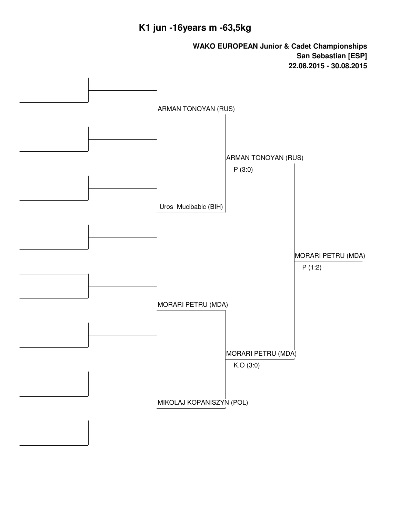### **K1 jun -16years m -63,5kg**

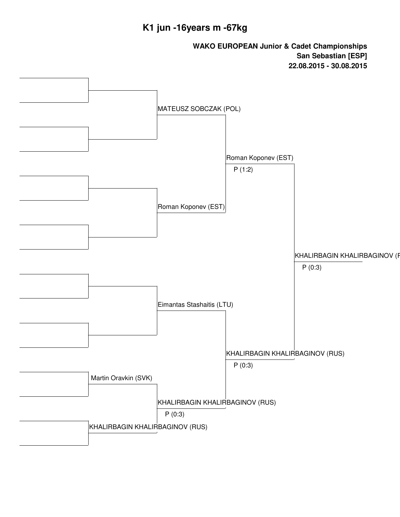### **K1 jun -16years m -67kg**

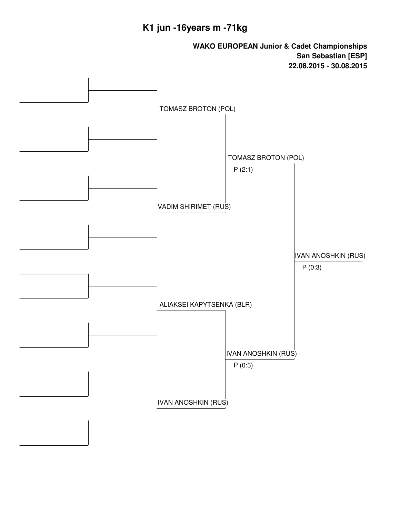## **K1 jun -16years m -71kg**

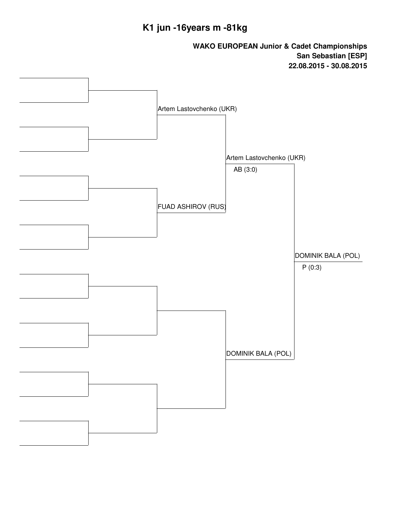## **K1 jun -16years m -81kg**

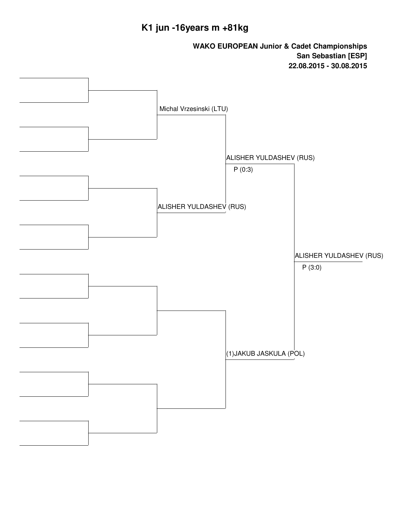## **K1 jun -16years m +81kg**

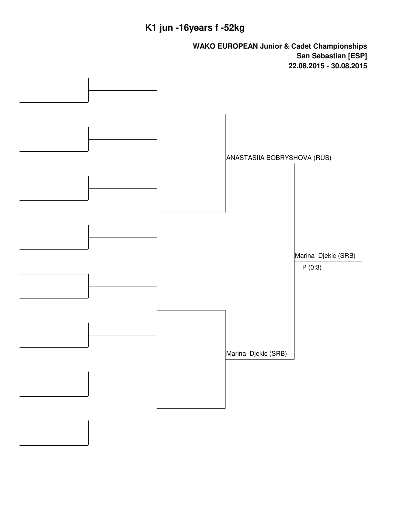# **K1 jun -16years f -52kg**

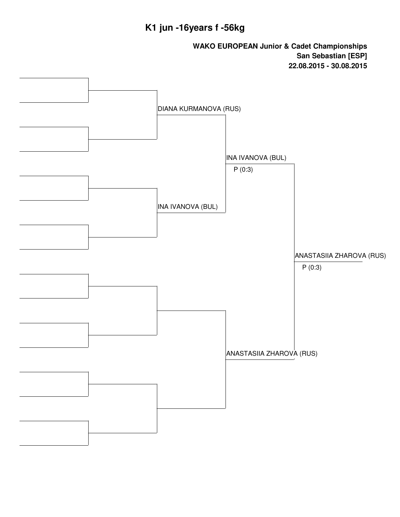## **K1 jun -16years f -56kg**

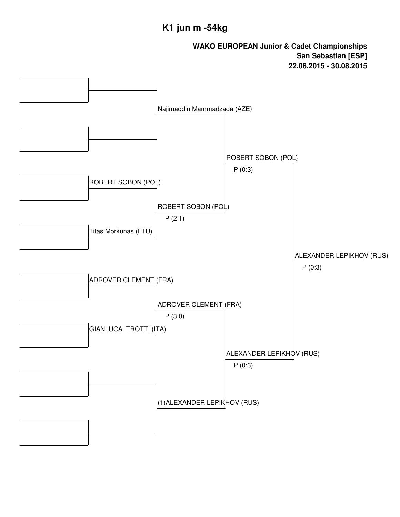#### **K1 jun m -54kg**

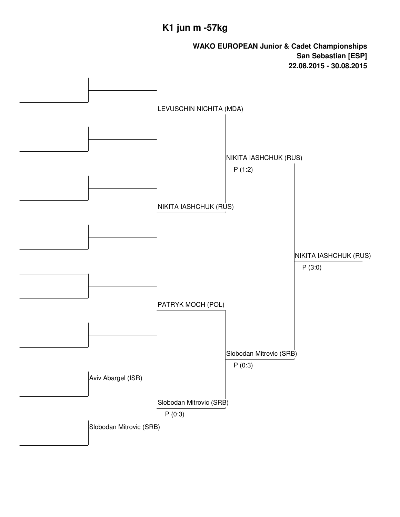## **K1 jun m -57kg**

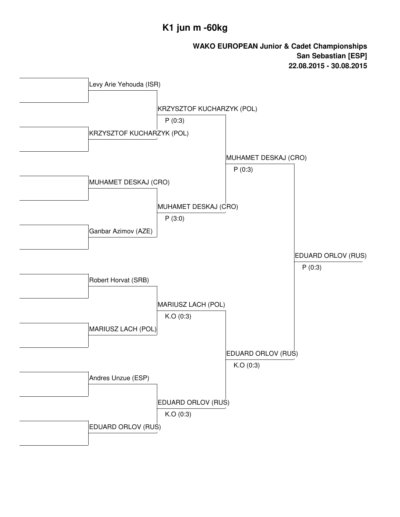### **K1 jun m -60kg**

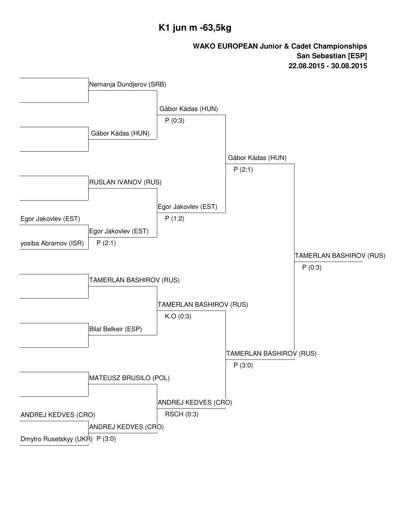### **K1 jun m -63,5kg**

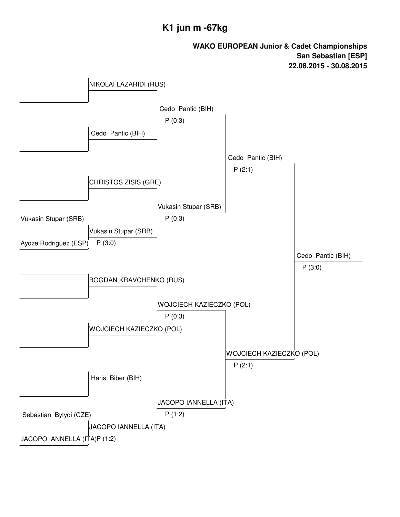### **K1 jun m -67kg**

![](_page_17_Figure_2.jpeg)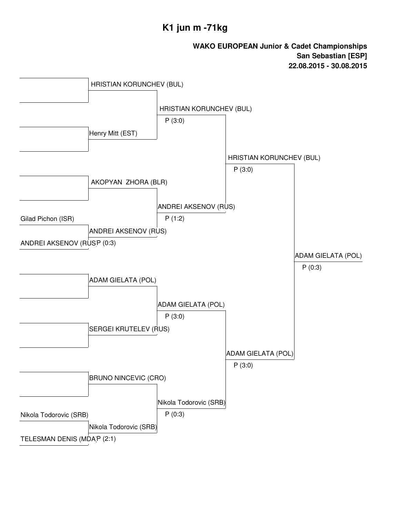### **K1 jun m -71kg**

![](_page_18_Figure_2.jpeg)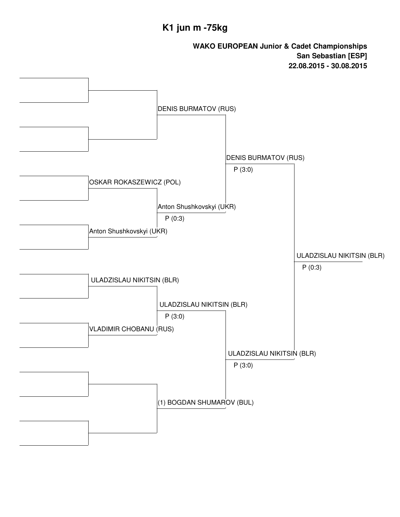#### **K1 jun m -75kg**

![](_page_19_Figure_2.jpeg)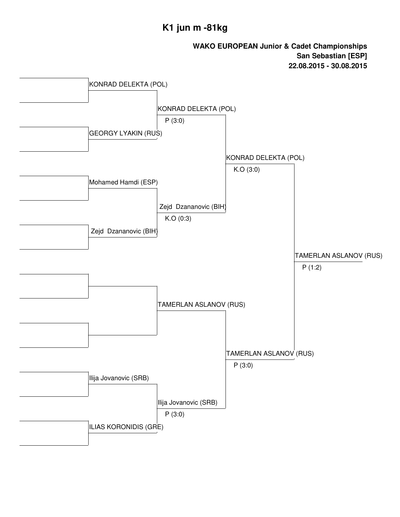### **K1 jun m -81kg**

![](_page_20_Figure_2.jpeg)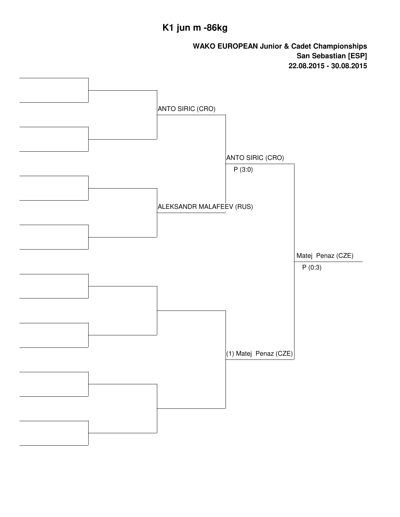## **K1 jun m -86kg**

![](_page_21_Figure_2.jpeg)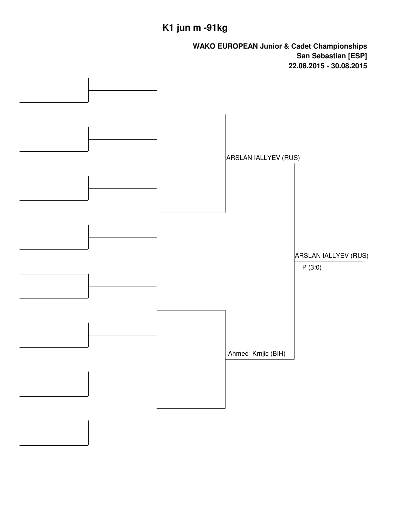# **K1 jun m -91kg**

![](_page_22_Figure_2.jpeg)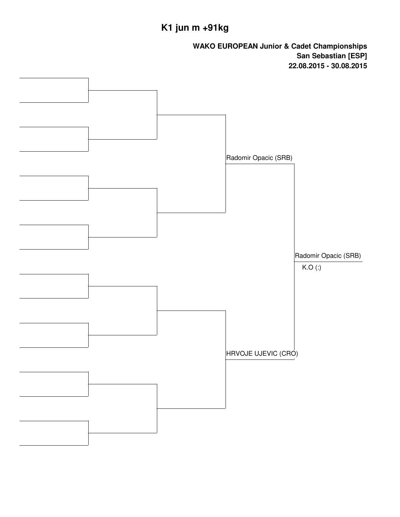# **K1 jun m +91kg**

![](_page_23_Figure_2.jpeg)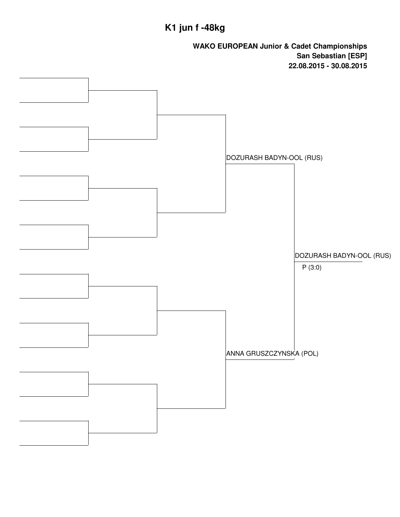## **K1 jun f -48kg**

![](_page_24_Figure_2.jpeg)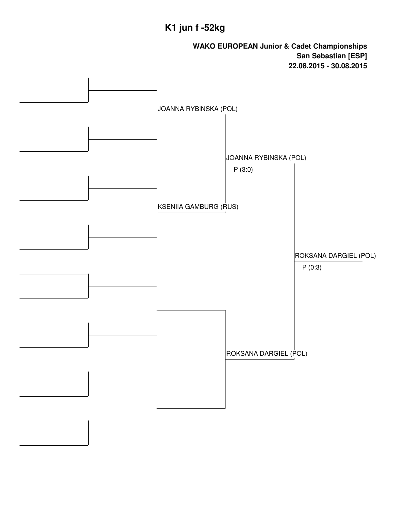## **K1 jun f -52kg**

![](_page_25_Figure_2.jpeg)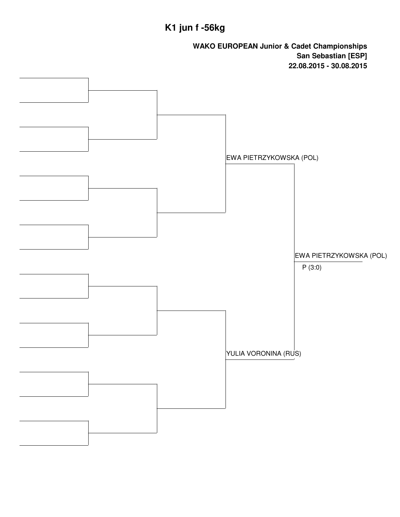## **K1 jun f -56kg**

![](_page_26_Figure_2.jpeg)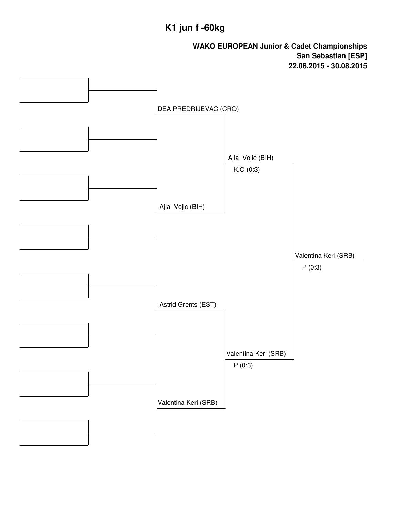## **K1 jun f -60kg**

![](_page_27_Figure_2.jpeg)